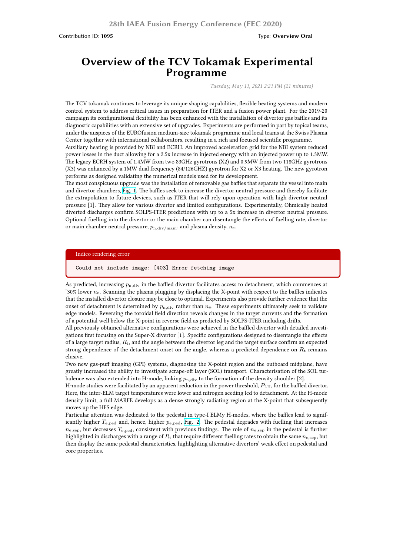# **Overview of the TCV Tokamak Experimental Programme**

*Tuesday, May 11, 2021 2:21 PM (21 minutes)*

The TCV tokamak continues to leverage its unique shaping capabilities, flexible heating systems and modern control system to address critical issues in preparation for ITER and a fusion power plant. For the 2019-20 campaign its configurational flexibility has been enhanced with the installation of divertor gas baffles and its diagnostic capabilities with an extensive set of upgrades. Experiments are performed in part by topical teams, under the auspices of the EUROfusion medium-size tokamak programme and local teams at the Swiss Plasma Center together with international collaborators, resulting in a rich and focused scientific programme.

Auxiliary heating is provided by NBI and ECRH. An improved acceleration grid for the NBI system reduced power losses in the duct allowing for a 2.5x increase in injected energy with an injected power up to 1.3MW. The legacy ECRH system of 1.4MW from two 83GHz gyrotrons (X2) and 0.9MW from two 118GHz gyrotrons (X3) was enhanced by a 1MW dual frequency (84/126GHZ) gyrotron for X2 or X3 heating. The new gyrotron performs as designed validating the numerical models used for its development.

The most conspicuous upgrade was the installation of removable gas baffles that separate the vessel into main and divertor chambers, Fig. 1. The baffles seek to increase the divertor neutral pressure and thereby facilitate the extrapolation to future devices, such as ITER that will rely upon operation with high divertor neutral pressure [1]. They allow for various divertor and limited configurations. Experimentally, Ohmically heated diverted discharges confirm SOLPS-ITER predictions with up to a 5x increase in divertor neutral pressure. Optional fuelling into the divertor or the main chamber can disentangle the effects of fuelling rate, divertor or main chamber neutr[al pres](https://www.epfl.ch/research/domains/swiss-plasma-center/wp-content/uploads/2020/03/Reimerdes_IAEA_2020_Fig1.jpg)sure,  $p_{n,\text{div}/\text{main}}$ , and plasma density,  $n_{e}$ .

#### Indico rendering error

Could not include image: [403] Error fetching image

As predicted, increasing  $p_{n,\text{div}}$  in the baffled divertor facilitates access to detachment, which commences at ˜30% lower *n*e. Scanning the plasma plugging by displacing the X-point with respect to the baffles indicates that the installed divertor closure may be close to optimal. Experiments also provide further evidence that the onset of detachment is determined by  $p_{n,div}$  rather than  $n_e$ . These experiments ultimately seek to validate edge models. Reversing the toroidal field direction reveals changes in the target currents and the formation of a potential well below the X-point in reverse field as predicted by SOLPS-ITER including drifts.

All previously obtained alternative configurations were achieved in the baffled divertor with detailed investigations first focusing on the Super-X divertor [1]. Specific configurations designed to disentangle the effects of a large target radius, *R*t, and the angle between the divertor leg and the target surface confirm an expected strong dependence of the detachment onset on the angle, whereas a predicted dependence on  $R_t$  remains elusive.

Two new gas-puff imaging (GPI) systems, diagnosing the X-point region and the outboard midplane, have greatly increased the ability to investigate scrape-off layer (SOL) transport. Characterisation of the SOL turbulence was also extended into H-mode, linking  $p_{n,div}$  to the formation of the density shoulder [2].

H-mode studies were facilitated by an apparent reduction in the power threshold, *P*LH, for the baffled divertor. Here, the inter-ELM target temperatures were lower and nitrogen seeding led to detachment. At the H-mode density limit, a full MARFE develops as a dense strongly radiating region at the X-point that subsequently moves up the HFS edge.

Particular attention was dedicated to the pedestal in type-I ELMy H-modes, where the baffles lead to significantly higher *T*<sup>e</sup>*,*ped and, hence, higher *p*<sup>e</sup>*,*ped, Fig. 2. The pedestal degrades with fuelling that increases  $n_{e,sep}$ , but decreases  $T_{e,ped}$ , consistent with previous findings. The role of  $n_{e,sep}$  in the pedestal is further highlighted in discharges with a range of *R*<sup>t</sup> that require different fuelling rates to obtain the same *n*<sup>e</sup>*,*sep, but then display the same pedestal characteristics, highlighting alternative divertors' weak effect on pedestal and core properties.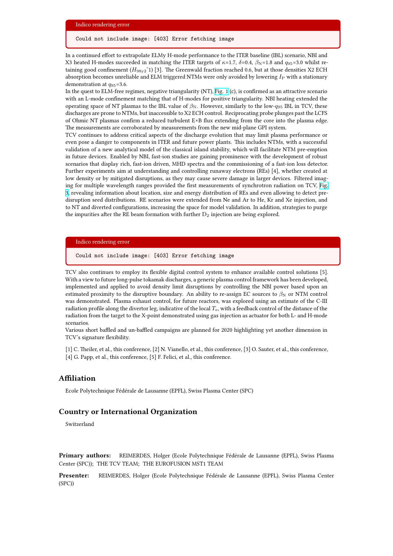In a continued effort to extrapolate ELMy H-mode performance to the ITER baseline (IBL) scenario, NBI and X3 heated H-modes succeeded in matching the ITER targets of  $κ=1.7$ ,  $δ=0.4$ ,  $β<sub>N</sub>=1.8$  and  $q<sub>95</sub>=3.0$  whilst retaining good confinement ( $H_{98y2}$ <sup> $\gamma$ </sup>1) [3]. The Greenwald fraction reached 0.6, but at those densities X2 ECH absorption becomes unreliable and ELM triggered NTMs were only avoided by lowering *I*<sub>P</sub> with a stationary demonstration at *q*95=3.6.

In the quest to ELM-free regimes, negative triangularity (NT), Fig. 1 (c), is confirmed as an attractive scenario with an L-mode confinement matching that of H-modes for positive triangularity. NBI heating extended the operating space of NT plasmas to the IBL value of  $\beta_N$ . However, similarly to the low- $q_{95}$  IBL in TCV, these discharges are prone to NTMs, but inaccessible to X2 ECH control. Reciprocating probe plunges past the LCFS of Ohmic NT plasmas confirm a reduced turbulent E×B flux extending from the core into the plasma edge. The measurements are corroborated by measurements from t[he new](https://www.epfl.ch/research/domains/swiss-plasma-center/wp-content/uploads/2020/03/Reimerdes_IAEA_2020_Fig1.jpg) mid-plane GPI system.

TCV continues to address critical aspects of the discharge evolution that may limit plasma performance or even pose a danger to components in ITER and future power plants. This includes NTMs, with a successful validation of a new analytical model of the classical island stability, which will facilitate NTM pre-emption in future devices. Enabled by NBI, fast-ion studies are gaining prominence with the development of robust scenarios that display rich, fast-ion driven, MHD spectra and the commissioning of a fast-ion loss detector. Further experiments aim at understanding and controlling runaway electrons (REs) [4], whether created at low density or by mitigated disruptions, as they may cause severe damage in larger devices. Filtered imaging for multiple wavelength ranges provided the first measurements of synchrotron radiation on TCV, Fig. 3, revealing information about location, size and energy distribution of REs and even allowing to detect predisruption seed distributions. RE scenarios were extended from Ne and Ar to He, Kr and Xe injection, and to NT and diverted configurations, increasing the space for model validation. In addition, strategies to purge the impurities after the RE beam formation with further  $D_2$  injection are being explored.

#### Indico rendering error

Could not include image: [403] Error fetching image

TCV also continues to employ its flexible digital control system to enhance available control solutions [5]. With a view to future long-pulse tokamak discharges, a generic plasma control framework has been developed, implemented and applied to avoid density limit disruptions by controlling the NBI power based upon an estimated proximity to the disruptive boundary. An ability to re-assign EC sources to  $\beta_N$  or NTM control was demonstrated. Plasma exhaust control, for future reactors, was explored using an estimate of the C-III radiation profile along the divertor leg, indicative of the local *T*e, with a feedback control of the distance of the radiation from the target to the X-point demonstrated using gas injection as actuator for both L- and H-mode scenarios.

Various short baffled and un-baffled campaigns are planned for 2020 highlighting yet another dimension in TCV's signature flexibility.

[1] C. Theiler, et al., this conference, [2] N. Vianello, et al., this conference, [3] O. Sauter, et al., this conference,

[4] G. Papp, et al., this conference, [5] F. Felici, et al., this conference.

### **Affiliation**

Ecole Polytechnique Fédérale de Lausanne (EPFL), Swiss Plasma Center (SPC)

#### **Country or International Organization**

Switzerland

**Primary authors:** REIMERDES, Holger (Ecole Polytechnique Fédérale de Lausanne (EPFL), Swiss Plasma Center (SPC)); THE TCV TEAM; THE EUROFUSION MST1 TEAM

**Presenter:** REIMERDES, Holger (Ecole Polytechnique Fédérale de Lausanne (EPFL), Swiss Plasma Center (SPC))